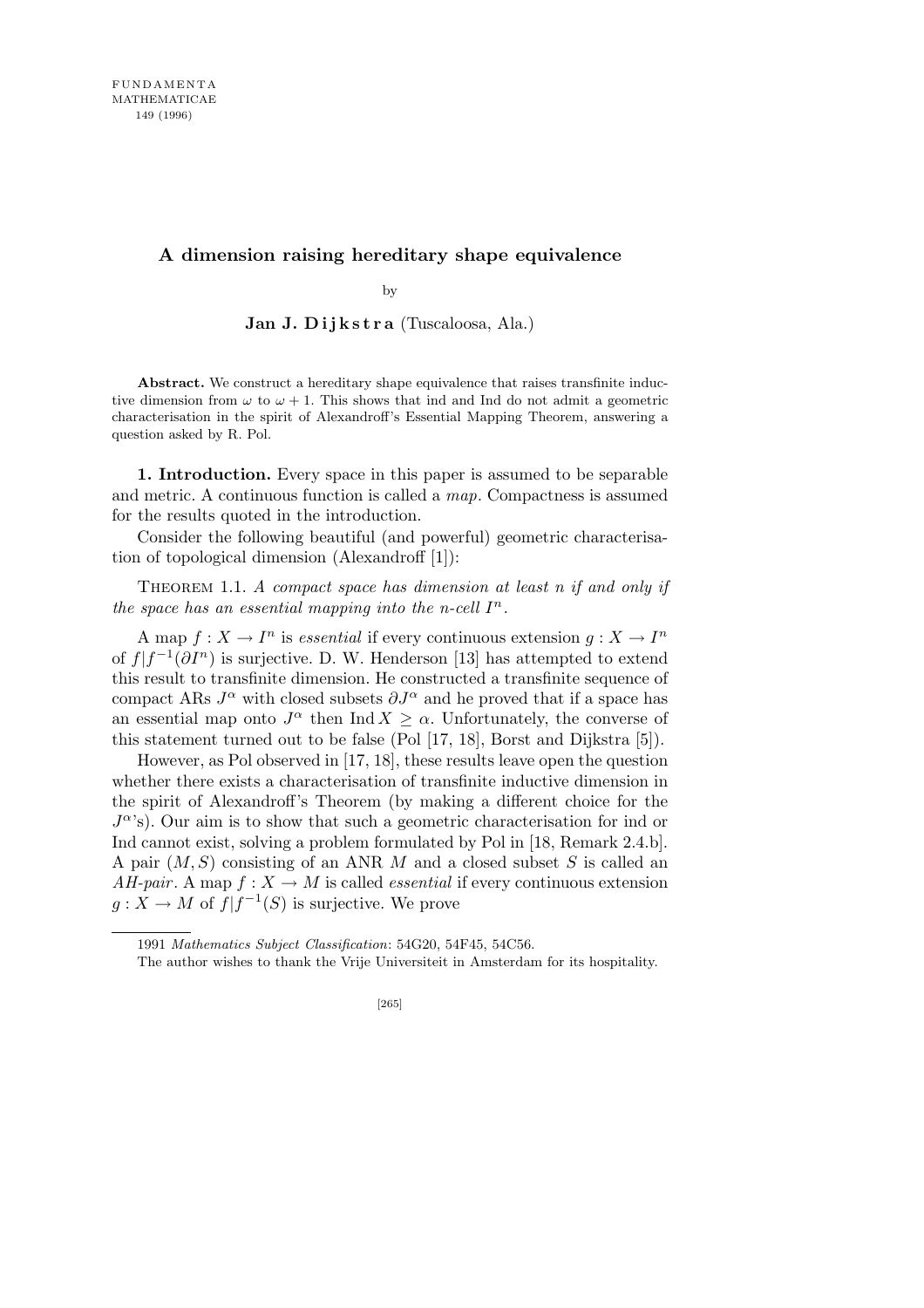## **A dimension raising hereditary shape equivalence**

by

**Jan J. D i j k s t r a** (Tuscaloosa, Ala.)

**Abstract.** We construct a hereditary shape equivalence that raises transfinite inductive dimension from  $\omega$  to  $\omega + 1$ . This shows that ind and Ind do not admit a geometric characterisation in the spirit of Alexandroff's Essential Mapping Theorem, answering a question asked by R. Pol.

**1. Introduction.** Every space in this paper is assumed to be separable and metric. A continuous function is called a *map*. Compactness is assumed for the results quoted in the introduction.

Consider the following beautiful (and powerful) geometric characterisation of topological dimension (Alexandroff [1]):

THEOREM 1.1. *A compact space has dimension at least n if and only if the space has an essential mapping into the n-cell*  $I<sup>n</sup>$ *.* 

A map  $f: X \to I^n$  is *essential* if every continuous extension  $g: X \to I^n$ of  $f|f^{-1}(\partial I^n)$  is surjective. D. W. Henderson [13] has attempted to extend this result to transfinite dimension. He constructed a transfinite sequence of compact ARs  $J^{\alpha}$  with closed subsets  $\partial J^{\alpha}$  and he proved that if a space has an essential map onto  $J^{\alpha}$  then Ind  $X \geq \alpha$ . Unfortunately, the converse of this statement turned out to be false (Pol [17, 18], Borst and Dijkstra [5]).

However, as Pol observed in [17, 18], these results leave open the question whether there exists a characterisation of transfinite inductive dimension in the spirit of Alexandroff's Theorem (by making a different choice for the  $J^{\alpha}$ 's). Our aim is to show that such a geometric characterisation for ind or Ind cannot exist, solving a problem formulated by Pol in [18, Remark 2.4.b]. A pair (*M, S*) consisting of an ANR *M* and a closed subset *S* is called an *AH-pair*. A map  $f: X \to M$  is called *essential* if every continuous extension  $g: X \to M$  of  $f | f^{-1}(S)$  is surjective. We prove

<sup>1991</sup> *Mathematics Subject Classification*: 54G20, 54F45, 54C56.

The author wishes to thank the Vrije Universiteit in Amsterdam for its hospitality.

<sup>[265]</sup>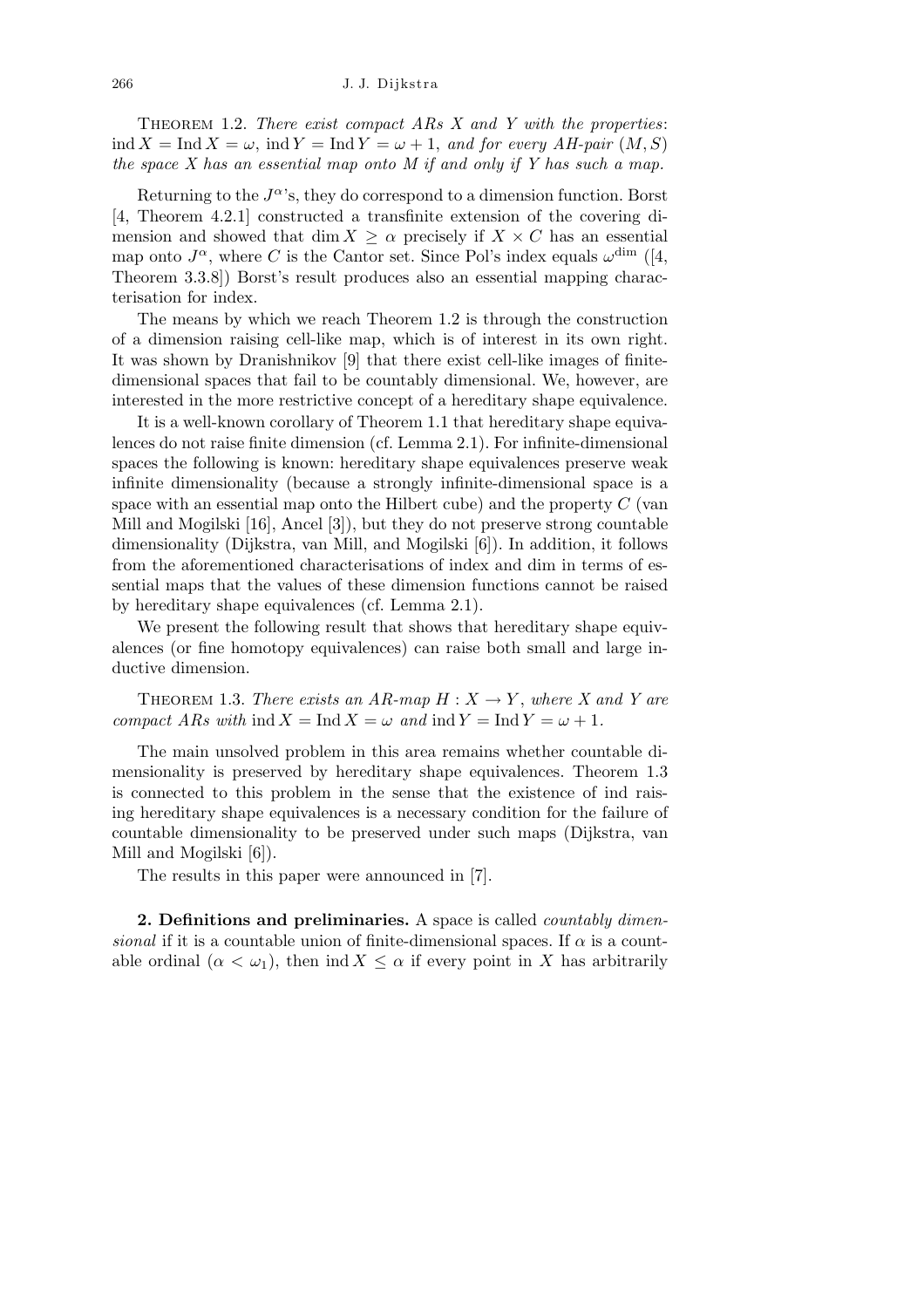THEOREM 1.2. *There exist compact ARs X and Y with the properties*:  $\text{ind } X = \text{Ind } X = \omega$ ,  $\text{ind } Y = \text{Ind } Y = \omega + 1$ , and for every AH-pair  $(M, S)$ *the space X has an essential map onto M if and only if Y has such a map.*

Returning to the  $J^{\alpha}$ 's, they do correspond to a dimension function. Borst [4, Theorem 4.2.1] constructed a transfinite extension of the covering dimension and showed that dim  $X \geq \alpha$  precisely if  $X \times C$  has an essential map onto  $J^{\alpha}$ , where *C* is the Cantor set. Since Pol's index equals  $\omega^{\dim}$  ([4, Theorem 3.3.8]) Borst's result produces also an essential mapping characterisation for index.

The means by which we reach Theorem 1.2 is through the construction of a dimension raising cell-like map, which is of interest in its own right. It was shown by Dranishnikov [9] that there exist cell-like images of finitedimensional spaces that fail to be countably dimensional. We, however, are interested in the more restrictive concept of a hereditary shape equivalence.

It is a well-known corollary of Theorem 1.1 that hereditary shape equivalences do not raise finite dimension (cf. Lemma 2.1). For infinite-dimensional spaces the following is known: hereditary shape equivalences preserve weak infinite dimensionality (because a strongly infinite-dimensional space is a space with an essential map onto the Hilbert cube) and the property *C* (van Mill and Mogilski [16], Ancel [3]), but they do not preserve strong countable dimensionality (Dijkstra, van Mill, and Mogilski [6]). In addition, it follows from the aforementioned characterisations of index and dim in terms of essential maps that the values of these dimension functions cannot be raised by hereditary shape equivalences (cf. Lemma 2.1).

We present the following result that shows that hereditary shape equivalences (or fine homotopy equivalences) can raise both small and large inductive dimension.

**THEOREM 1.3.** There exists an  $AR$ -map  $H: X \rightarrow Y$ , where X and Y are *compact ARs with*  $\text{ind } X = \text{Ind } X = \omega$  *and*  $\text{ind } Y = \text{Ind } Y = \omega + 1$ .

The main unsolved problem in this area remains whether countable dimensionality is preserved by hereditary shape equivalences. Theorem 1.3 is connected to this problem in the sense that the existence of ind raising hereditary shape equivalences is a necessary condition for the failure of countable dimensionality to be preserved under such maps (Dijkstra, van Mill and Mogilski [6]).

The results in this paper were announced in [7].

**2. Definitions and preliminaries.** A space is called *countably dimensional* if it is a countable union of finite-dimensional spaces. If  $\alpha$  is a countable ordinal  $(\alpha < \omega_1)$ , then ind  $X \leq \alpha$  if every point in X has arbitrarily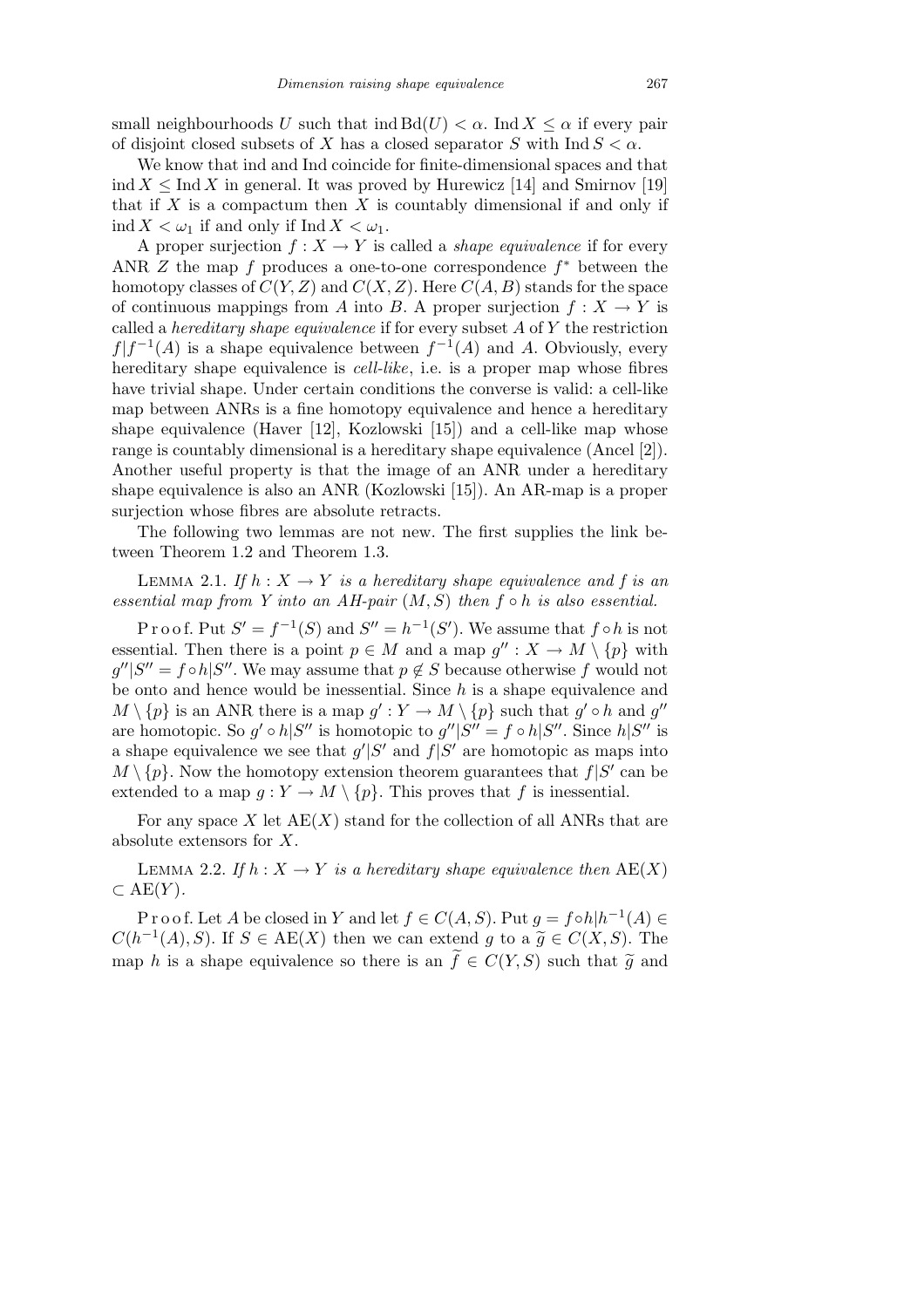small neighbourhoods *U* such that  $\text{ind } B d(U) < \alpha$ . Ind  $X \leq \alpha$  if every pair of disjoint closed subsets of *X* has a closed separator *S* with  $\text{Ind } S < \alpha$ .

We know that ind and Ind coincide for finite-dimensional spaces and that ind  $X \leq \text{Ind } X$  in general. It was proved by Hurewicz [14] and Smirnov [19] that if *X* is a compactum then *X* is countably dimensional if and only if ind  $X < \omega_1$  if and only if Ind  $X < \omega_1$ .

A proper surjection  $f: X \to Y$  is called a *shape equivalence* if for every ANR *Z* the map *f* produces a one-to-one correspondence *f <sup>∗</sup>* between the homotopy classes of  $C(Y, Z)$  and  $C(X, Z)$ . Here  $C(A, B)$  stands for the space of continuous mappings from *A* into *B*. A proper surjection  $f: X \to Y$  is called a *hereditary shape equivalence* if for every subset *A* of *Y* the restriction  $f|f^{-1}(A)$  is a shape equivalence between  $f^{-1}(A)$  and A. Obviously, every hereditary shape equivalence is *cell-like*, i.e. is a proper map whose fibres have trivial shape. Under certain conditions the converse is valid: a cell-like map between ANRs is a fine homotopy equivalence and hence a hereditary shape equivalence (Haver [12], Kozlowski [15]) and a cell-like map whose range is countably dimensional is a hereditary shape equivalence (Ancel [2]). Another useful property is that the image of an ANR under a hereditary shape equivalence is also an ANR (Kozlowski [15]). An AR-map is a proper surjection whose fibres are absolute retracts.

The following two lemmas are not new. The first supplies the link between Theorem 1.2 and Theorem 1.3.

LEMMA 2.1. If  $h: X \to Y$  is a hereditary shape equivalence and f is an *essential map from Y into an AH-pair* (*M, S*) *then f ◦ h is also essential.*

Proof. Put  $S' = f^{-1}(S)$  and  $S'' = h^{-1}(S')$ . We assume that  $f \circ h$  is not essential. Then there is a point  $p \in M$  and a map  $g'' : X \to M \setminus \{p\}$  with  $g''|S'' = f \circ h|S''$ . We may assume that  $p \notin S$  because otherwise  $f$  would not be onto and hence would be inessential. Since *h* is a shape equivalence and  $M \setminus \{p\}$  is an ANR there is a map  $g': Y \to M \setminus \{p\}$  such that  $g' \circ h$  and  $g''$ are homotopic. So  $g' \circ h|S''$  is homotopic to  $g''|S'' = f \circ h|S''$ . Since  $h|S''$  is a shape equivalence we see that  $g'|S'$  and  $f|S'$  are homotopic as maps into  $M \setminus \{p\}$ . Now the homotopy extension theorem guarantees that  $f|S'$  can be extended to a map  $g: Y \to M \setminus \{p\}$ . This proves that *f* is inessential.

For any space  $X$  let  $AE(X)$  stand for the collection of all ANRs that are absolute extensors for *X*.

LEMMA 2.2. If  $h: X \to Y$  is a hereditary shape equivalence then  $\text{AE}(X)$ *⊂* AE(*Y* )*.*

P r o o f. Let *A* be closed in *Y* and let  $f \in C(A, S)$ . Put  $g = f \circ h | h^{-1}(A) \in$  $C(h^{-1}(A), S)$ . If  $S \in \text{AE}(X)$  then we can extend *g* to a  $\tilde{g} \in C(X, S)$ . The map *h* is a shape equivalence so there is an  $\tilde{f} \in C(Y, S)$  such that  $\tilde{g}$  and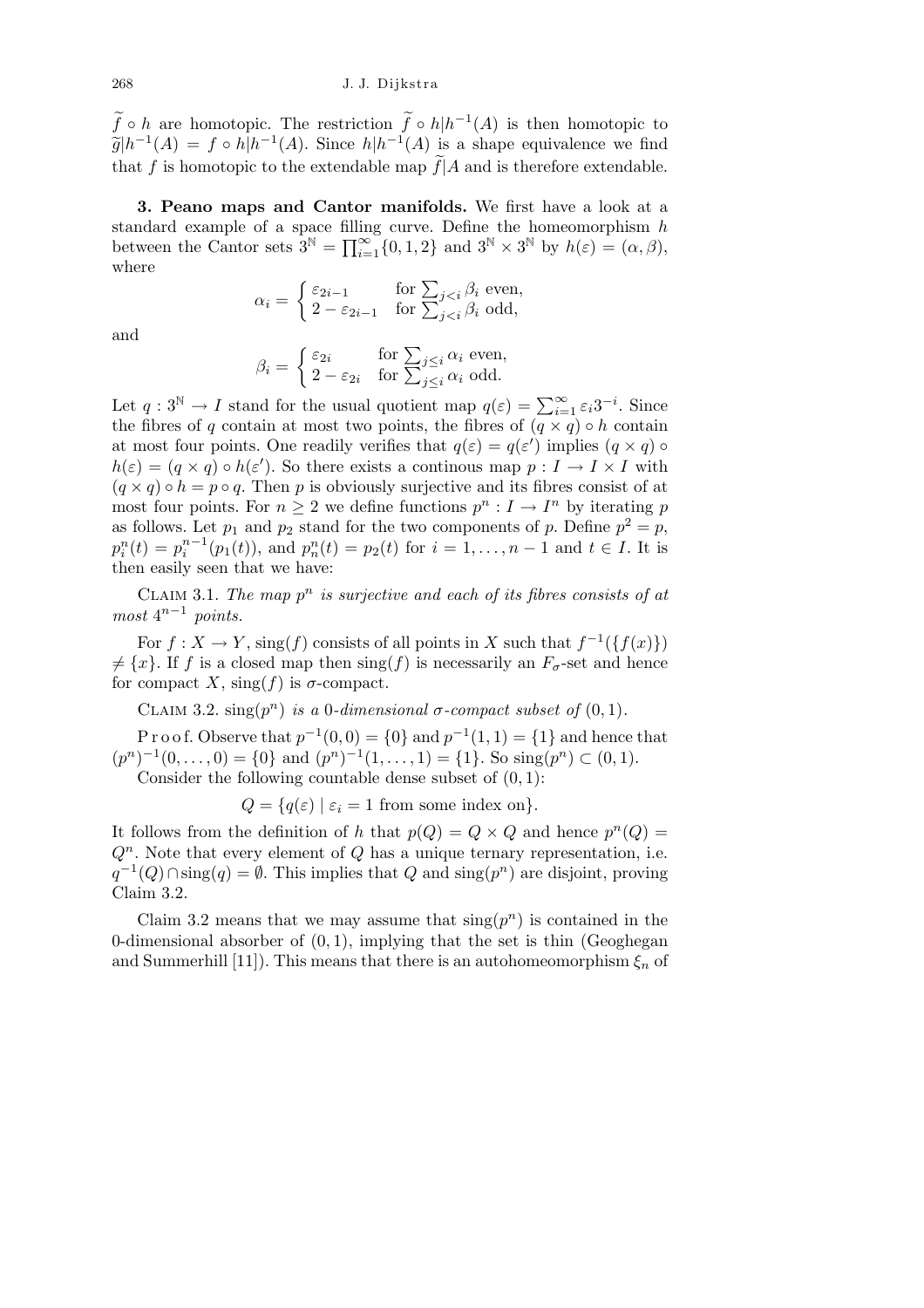$\widetilde{f} \circ h$  are homotopic. The restriction  $\widetilde{f} \circ h | h^{-1}(A)$  is then homotopic to  $\widetilde{g}|h^{-1}(A) = f \circ h|h^{-1}(A)$ . Since  $h|h^{-1}(A)$  is a shape equivalence we find that *f* is homotopic to the extendable map  $\widetilde{f}|A$  and is therefore extendable.

**3. Peano maps and Cantor manifolds.** We first have a look at a standard example of a space filling curve. Define the homeomorphism *h* between the Cantor sets  $3^{\mathbb{N}} = \prod_{i=1}^{\infty} \{0, 1, 2\}$  and  $3^{\mathbb{N}} \times 3^{\mathbb{N}}$  by  $h(\varepsilon) = (\alpha, \beta)$ , where  $\overline{\phantom{a}}$ 

$$
\alpha_i = \begin{cases} \varepsilon_{2i-1} & \text{for } \sum_{j
$$

and

$$
\beta_i = \begin{cases} \varepsilon_{2i} & \text{for } \sum_{j \le i} \alpha_i \text{ even,} \\ 2 - \varepsilon_{2i} & \text{for } \sum_{j \le i} \alpha_i \text{ odd.} \end{cases}
$$

Let  $q: 3^{\mathbb{N}} \to I$  stand for the usual quotient map  $q(\varepsilon) = \sum_{i=1}^{\infty} \varepsilon_i 3^{-i}$ . Since the fibres of *q* contain at most two points, the fibres of  $(\overline{q} \times \overline{q}) \circ h$  contain at most four points. One readily verifies that  $q(\varepsilon) = q(\varepsilon')$  implies  $(q \times q) \circ$  $h(\varepsilon) = (q \times q) \circ h(\varepsilon')$ . So there exists a continous map  $p: I \to I \times I$  with  $(q \times q) \circ h = p \circ q$ . Then *p* is obviously surjective and its fibres consist of at most four points. For  $n \geq 2$  we define functions  $p^n : I \to I^n$  by iterating p as follows. Let  $p_1$  and  $p_2$  stand for the two components of  $p$ . Define  $p^2 = p$ ,  $p_i^n(t) = p_i^{n-1}(p_1(t)),$  and  $p_n^n(t) = p_2(t)$  for  $i = 1, ..., n-1$  and  $t \in I$ . It is then easily seen that we have:

CLAIM 3.1. The map  $p^n$  is surjective and each of its fibres consists of at  $most \ 4^{n-1} \ points.$ 

For  $f: X \to Y$ , sing(*f*) consists of all points in *X* such that  $f^{-1}(\lbrace f(x) \rbrace)$  $\neq \{x\}$ . If *f* is a closed map then sing(*f*) is necessarily an  $F_{\sigma}$ -set and hence for compact *X*, sing(*f*) is  $\sigma$ -compact.

CLAIM 3.2.  $\text{sing}(p^n)$  *is a* 0*-dimensional*  $\sigma$ *-compact subset of*  $(0, 1)$ *.* 

P r o o f. Observe that  $p^{-1}(0,0) = \{0\}$  and  $p^{-1}(1,1) = \{1\}$  and hence that  $(p^n)^{-1}(0, \ldots, 0) = \{0\}$  and  $(p^n)^{-1}(1, \ldots, 1) = \{1\}$ . So sing $(p^n) \subset (0, 1)$ .

Consider the following countable dense subset of (0*,* 1):

 $Q = \{q(\varepsilon) \mid \varepsilon_i = 1 \text{ from some index on}\}.$ 

It follows from the definition of *h* that  $p(Q) = Q \times Q$  and hence  $p^{n}(Q) =$  $Q<sup>n</sup>$ . Note that every element of  $Q$  has a unique ternary representation, i.e. *q*<sup>-1</sup>(*Q*)∩sing(*q*) =  $\emptyset$ . This implies that *Q* and sing(*p*<sup>*n*</sup>) are disjoint, proving Claim 3.2.

Claim 3.2 means that we may assume that  $\text{sing}(p^n)$  is contained in the 0-dimensional absorber of (0*,* 1), implying that the set is thin (Geoghegan and Summerhill [11]). This means that there is an autohomeomorphism  $\xi_n$  of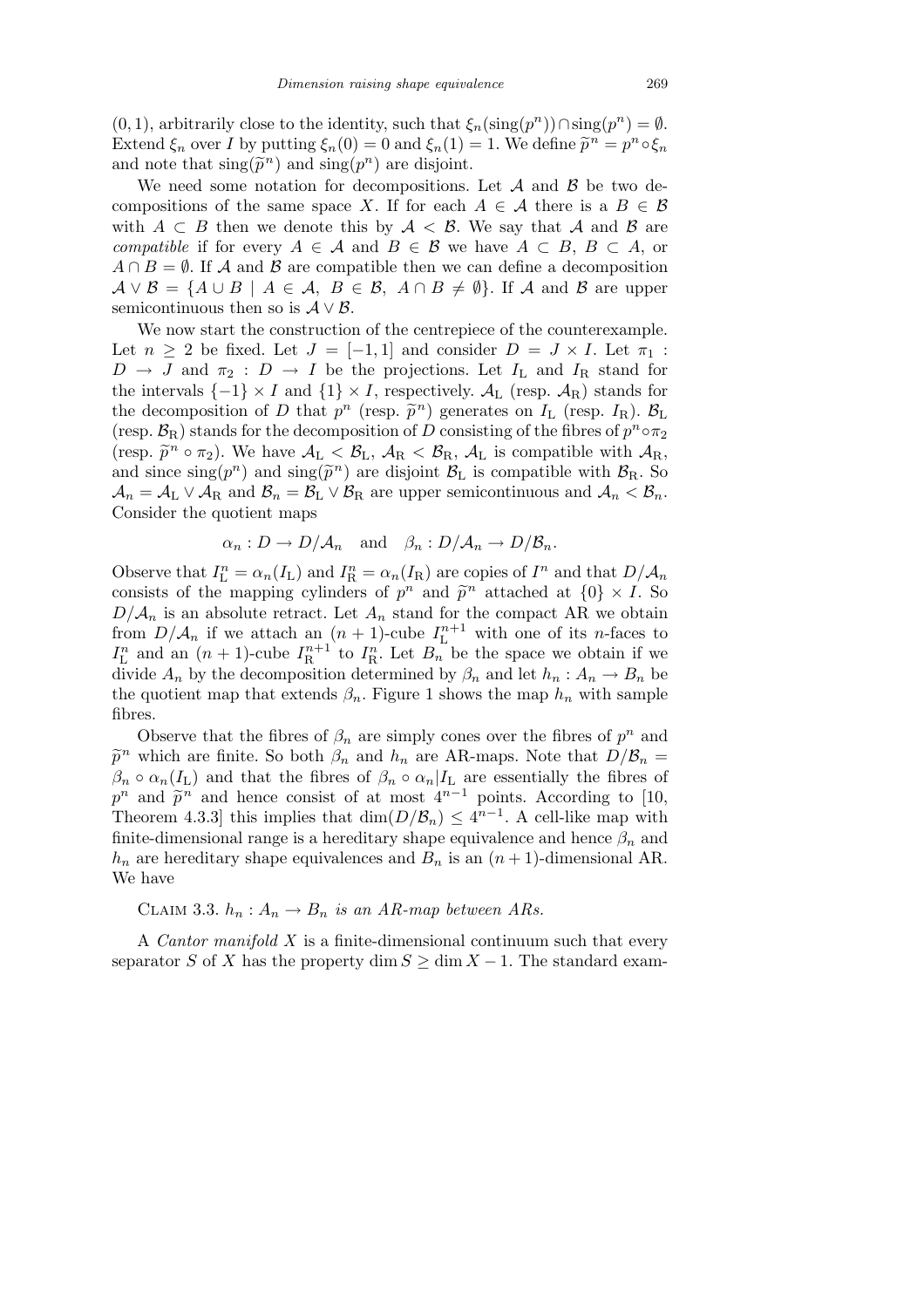$(0, 1)$ , arbitrarily close to the identity, such that  $\xi_n(\text{sing}(p^n)) \cap \text{sing}(p^n) = \emptyset$ . Extend  $\xi_n$  over *I* by putting  $\xi_n(0) = 0$  and  $\xi_n(1) = 1$ . We define  $\tilde{p}^n = p^n \circ \xi_n$ and note that  $\text{sing}(\tilde{p}^n)$  and  $\text{sing}(p^n)$  are disjoint.

We need some notation for decompositions. Let *A* and *B* be two decompositions of the same space *X*. If for each  $A \in \mathcal{A}$  there is a  $B \in \mathcal{B}$ with  $A \subset B$  then we denote this by  $A \prec B$ . We say that *A* and *B* are *compatible* if for every  $A \in \mathcal{A}$  and  $B \in \mathcal{B}$  we have  $A \subset B$ ,  $B \subset A$ , or  $A \cap B = \emptyset$ . If *A* and *B* are compatible then we can define a decomposition  $A \vee B = \{A \cup B \mid A \in \mathcal{A}, B \in \mathcal{B}, A \cap B \neq \emptyset\}.$  If *A* and *B* are upper semicontinuous then so is  $A \vee B$ .

We now start the construction of the centrepiece of the counterexample. Let  $n \geq 2$  be fixed. Let  $J = [-1,1]$  and consider  $D = J \times I$ . Let  $\pi_1$ :  $D \rightarrow J$  and  $\pi_2 : D \rightarrow I$  be the projections. Let  $I_L$  and  $I_R$  stand for the intervals  $\{-1\} \times I$  and  $\{1\} \times I$ , respectively.  $\mathcal{A}_{L}$  (resp.  $\mathcal{A}_{R}$ ) stands for the decomposition of *D* that  $p^n$  (resp.  $\tilde{p}^n$ ) generates on  $I_L$  (resp.  $I_R$ ).  $\mathcal{B}_L$ (resp.  $\mathcal{B}_R$ ) stands for the decomposition of *D* consisting of the fibres of  $p^n \circ \pi_2$ (resp.  $\tilde{p}^n \circ \pi_2$ ). We have  $\mathcal{A}_L < \mathcal{B}_L$ ,  $\mathcal{A}_R < \mathcal{B}_R$ ,  $\mathcal{A}_L$  is compatible with  $\mathcal{A}_R$ , and since  $\text{sing}(p^n)$  and  $\text{sing}(\tilde{p}^n)$  are disjoint  $\mathcal{B}_L$  is compatible with  $\mathcal{B}_R$ . So  $A_n = A_L \vee A_R$  and  $B_n = B_L \vee B_R$  are upper semicontinuous and  $A_n < B_n$ . Consider the quotient maps

$$
\alpha_n : D \to D/A_n
$$
 and  $\beta_n : D/A_n \to D/B_n$ .

Observe that  $I_{\text{L}}^{n} = \alpha_n(I_{\text{L}})$  and  $I_{\text{R}}^{n} = \alpha_n(I_{\text{R}})$  are copies of  $I^n$  and that  $D/\mathcal{A}_n$ consists of the mapping cylinders of  $p^n$  and  $\tilde{p}^n$  attached at  $\{0\} \times I$ . So  $D/\mathcal{A}_n$  is an absolute retract. Let  $A_n$  stand for the compact AR we obtain from  $D/\mathcal{A}_n$  if we attach an  $(n+1)$ -cube  $I_L^{n+1}$  with one of its *n*-faces to  $I_{\text{L}}^{n}$  and an  $(n + 1)$ -cube  $I_{\text{R}}^{n+1}$  to  $I_{\text{R}}^{n}$ . Let  $B_{n}$  be the space we obtain if we divide  $A_n$  by the decomposition determined by  $\beta_n$  and let  $h_n: A_n \to B_n$  be the quotient map that extends  $\beta_n$ . Figure 1 shows the map  $h_n$  with sample fibres.

Observe that the fibres of  $\beta_n$  are simply cones over the fibres of  $p^n$  and  $\tilde{p}^n$  which are finite. So both  $\beta_n$  and  $h_n$  are AR-maps. Note that  $D/\mathcal{B}_n =$  $\beta_n \circ \alpha_n(I_L)$  and that the fibres of  $\beta_n \circ \alpha_n|I_L$  are essentially the fibres of  $p^n$  and  $\tilde{p}^n$  and hence consist of at most  $4^{n-1}$  points. According to [10, Theorem 4.3.3] this implies that  $\dim(D/\mathcal{B}_n) \leq 4^{n-1}$ . A cell-like map with finite-dimensional range is a hereditary shape equivalence and hence  $\beta_n$  and  $h_n$  are hereditary shape equivalences and  $B_n$  is an  $(n+1)$ -dimensional AR. We have

CLAIM 3.3.  $h_n: A_n \to B_n$  *is an AR-map between ARs.* 

A *Cantor manifold X* is a finite-dimensional continuum such that every separator *S* of *X* has the property dim  $S \ge \dim X - 1$ . The standard exam-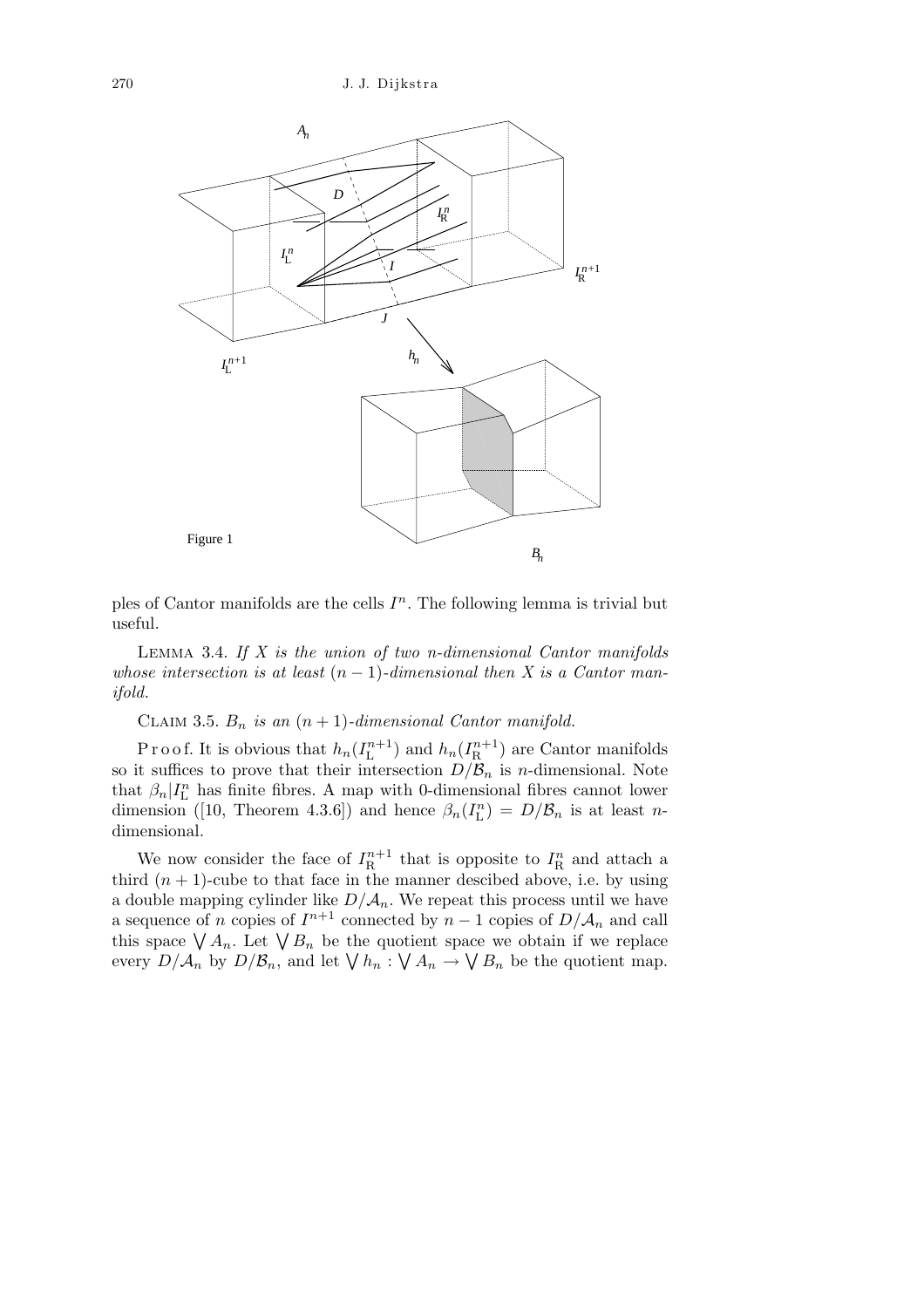

ples of Cantor manifolds are the cells  $I<sup>n</sup>$ . The following lemma is trivial but useful.

Lemma 3.4. *If X is the union of two n-dimensional Cantor manifolds whose intersection is at least*  $(n-1)$ *-dimensional then X is a Cantor manifold.*

CLAIM 3.5.  $B_n$  *is an*  $(n + 1)$ *-dimensional Cantor manifold.* 

Proof. It is obvious that  $h_n(I_{\text{L}}^{n+1})$  and  $h_n(I_{\text{R}}^{n+1})$  are Cantor manifolds so it suffices to prove that their intersection  $D/\mathcal{B}_n$  is *n*-dimensional. Note that  $\beta_n | I_{\text{L}}^n$  has finite fibres. A map with 0-dimensional fibres cannot lower dimension ([10, Theorem 4.3.6]) and hence  $\beta_n(I_{\text{L}}^n) = D/\mathcal{B}_n$  is at least *n*dimensional.

We now consider the face of  $I_{\text{R}}^{n+1}$  that is opposite to  $I_{\text{R}}^{n}$  and attach a third  $(n + 1)$ -cube to that face in the manner descibed above, i.e. by using a double mapping cylinder like  $D/\mathcal{A}_n$ . We repeat this process until we have a sequence of *n* copies of  $I^{n+1}$  connected by  $n-1$  copies of  $D/\mathcal{A}_n$  and call a sequence of *n* copies of  $T$  connected by  $n-1$  copies of  $D/A_n$  and can<br>this space  $\bigvee A_n$ . Let  $\bigvee B_n$  be the quotient space we obtain if we replace this space  $\sqrt{A_n}$ . Let  $\sqrt{B_n}$  be the quotient space we obtain if we replace<br>every  $D/A_n$  by  $D/B_n$ , and let  $\sqrt{h_n}: \sqrt{A_n} \to \sqrt{B_n}$  be the quotient map.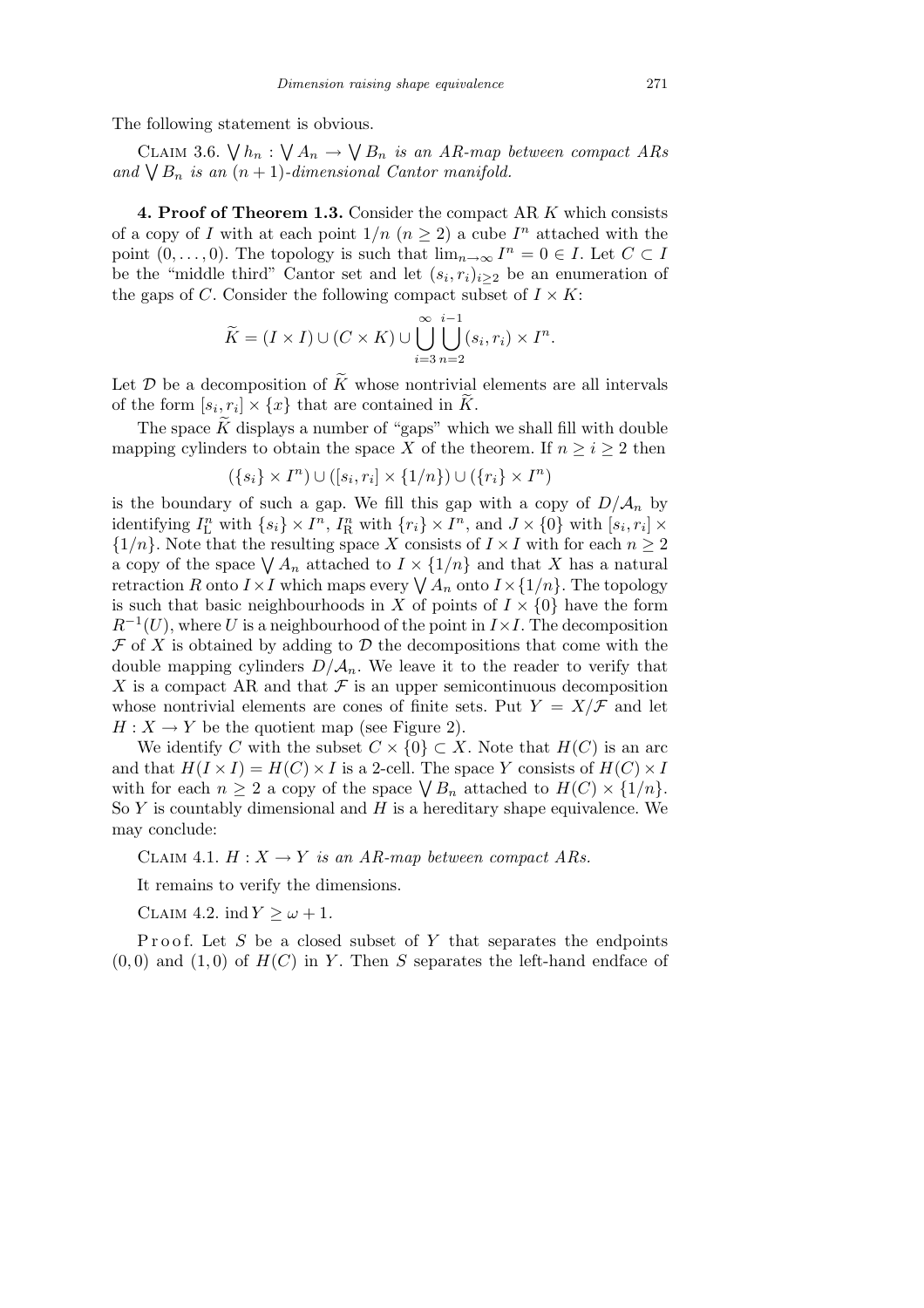The following statement is obvious.

CLAIM 3.6.  $\bigvee h_n$ :  $\ddot{\phantom{0}}$  $A_n \rightarrow$  $\ddot{\phantom{0}}$ *B<sup>n</sup> is an AR-map between compact ARs* CLAIM 3.0.  $\forall$   $n_n : \forall A_n \rightarrow \forall B_n$  *is an AR-map cand*  $\forall B_n$  *is an*  $(n+1)$ *-dimensional Cantor manifold.* 

**4. Proof of Theorem 1.3.** Consider the compact AR *K* which consists of a copy of *I* with at each point  $1/n$   $(n \geq 2)$  a cube  $I<sup>n</sup>$  attached with the point  $(0, \ldots, 0)$ . The topology is such that  $\lim_{n \to \infty} I^n = 0 \in I$ . Let  $C \subset I$ be the "middle third" Cantor set and let  $(s_i, r_i)_{i \geq 2}$  be an enumeration of the gaps of *C*. Consider the following compact subset of  $I \times K$ :

$$
\widetilde{K} = (I \times I) \cup (C \times K) \cup \bigcup_{i=3}^{\infty} \bigcup_{n=2}^{i-1} (s_i, r_i) \times I^n.
$$

Let  $\mathcal D$  be a decomposition of  $\widetilde K$  whose nontrivial elements are all intervals of the form  $[s_i, r_i] \times \{x\}$  that are contained in  $\widetilde{K}$ .

The space  $\tilde{K}$  displays a number of "gaps" which we shall fill with double mapping cylinders to obtain the space *X* of the theorem. If  $n \geq i \geq 2$  then

$$
(\{s_i\} \times I^n) \cup ([s_i, r_i] \times \{1/n\}) \cup (\{r_i\} \times I^n)
$$

is the boundary of such a gap. We fill this gap with a copy of  $D/A_n$  by identifying  $I_{\text{L}}^{n}$  with  $\{s_i\} \times I^{n}$ ,  $I_{\text{R}}^{n}$  with  $\{r_i\} \times I^{n}$ , and  $J \times \{0\}$  with  $[s_i, r_i] \times$  ${1/n}$ . Note that the resulting space *X* consists of  $I \times I$  with for each  $n \geq 2$  $\{1/n\}$ . Note that the resulting space A consists of  $I \times I$  with for each  $n \geq 2$  a copy of the space  $\bigvee A_n$  attached to  $I \times \{1/n\}$  and that X has a natural a copy of the space  $\sqrt{A_n}$  attached to  $I \times \{1/n\}$  and that  $\Lambda$  has a hattral retraction  $R$  onto  $I \times I$  which maps every  $\sqrt{A_n}$  onto  $I \times \{1/n\}$ . The topology is such that basic neighbourhoods in *X* of points of  $I \times \{0\}$  have the form  $R^{-1}(U)$ , where *U* is a neighbourhood of the point in  $I \times I$ . The decomposition  $\mathcal F$  of  $X$  is obtained by adding to  $\mathcal D$  the decompositions that come with the double mapping cylinders  $D/\mathcal{A}_n$ . We leave it to the reader to verify that *X* is a compact AR and that  $\mathcal F$  is an upper semicontinuous decomposition whose nontrivial elements are cones of finite sets. Put  $Y = X/\mathcal{F}$  and let  $H: X \to Y$  be the quotient map (see Figure 2).

We identify *C* with the subset  $C \times \{0\} \subset X$ . Note that  $H(C)$  is an arc and that  $H(I \times I) = H(C) \times I$  is a 2-cell. The space *Y* consists of  $H(C) \times I$ with for each  $n \geq 2$  a copy of the space  $\bigvee B_n$  attached to  $H(C) \times \{1/n\}$ . So *Y* is countably dimensional and *H* is a hereditary shape equivalence. We may conclude:

CLAIM 4.1.  $H: X \to Y$  *is an AR-map between compact ARs.* 

It remains to verify the dimensions.

CLAIM 4.2. ind  $Y > \omega + 1$ .

Proof. Let S be a closed subset of Y that separates the endpoints  $(0,0)$  and  $(1,0)$  of  $H(C)$  in *Y*. Then *S* separates the left-hand endface of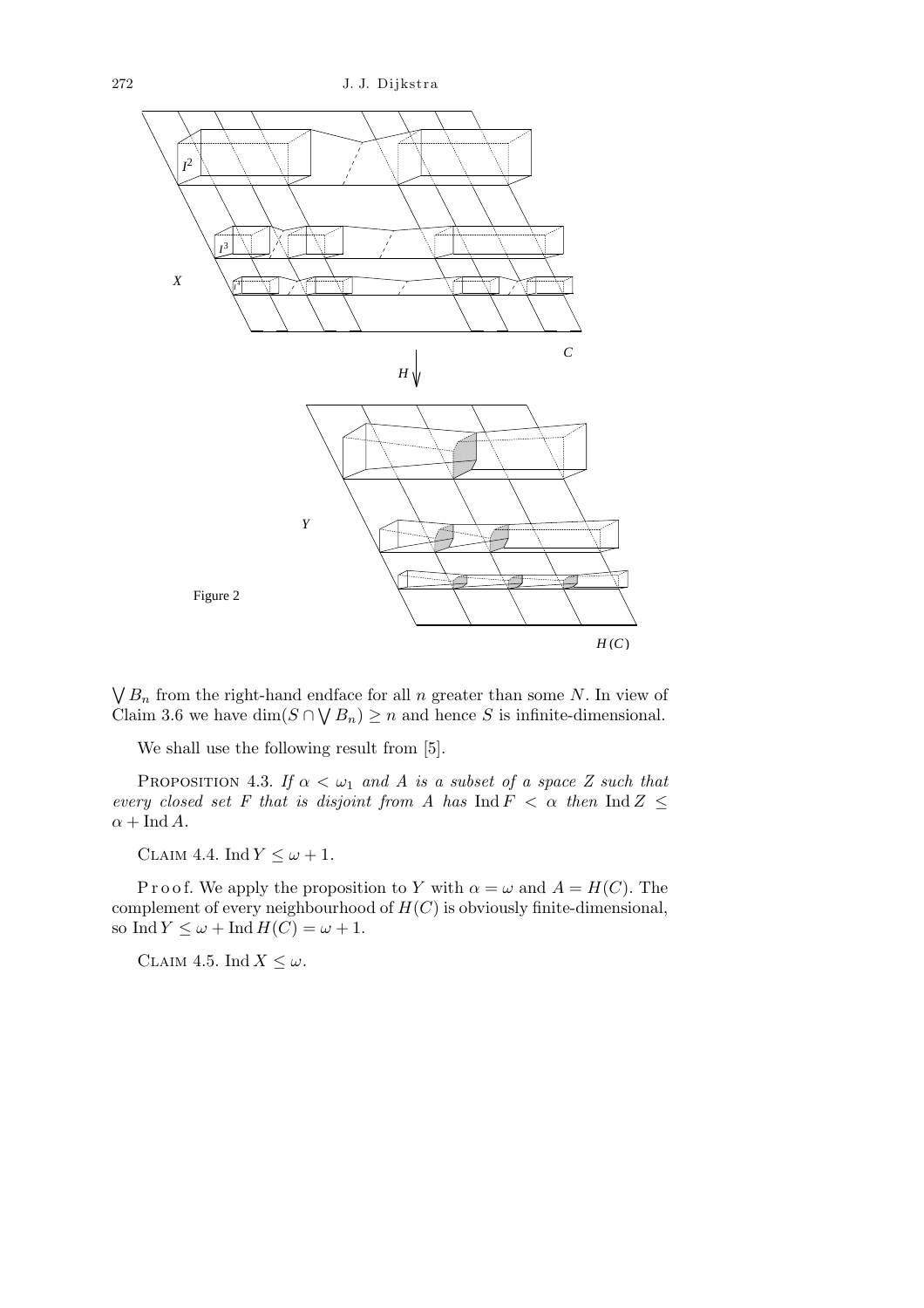

 $\ddot{\phantom{0}}$  $B_n$  from the right-hand endface for all *n* greater than some *N*. In view of Claim 3.6 we have  $\dim(S \cap \bigvee B_n) \geq n$  and hence *S* is infinite-dimensional.

We shall use the following result from [5].

PROPOSITION 4.3. *If*  $\alpha < \omega_1$  *and A is a subset of a space Z such that every closed set F that is disjoint from A has*  $\text{Ind } F \leq \alpha$  *then*  $\text{Ind } Z \leq$  $\alpha + \text{Ind } A$ *.* 

CLAIM 4.4. Ind  $Y \leq \omega + 1$ .

P r o o f. We apply the proposition to *Y* with  $\alpha = \omega$  and  $A = H(C)$ . The complement of every neighbourhood of *H*(*C*) is obviously finite-dimensional, so Ind  $Y \leq \omega + \text{Ind } H(C) = \omega + 1$ .

CLAIM 4.5. Ind  $X \leq \omega$ .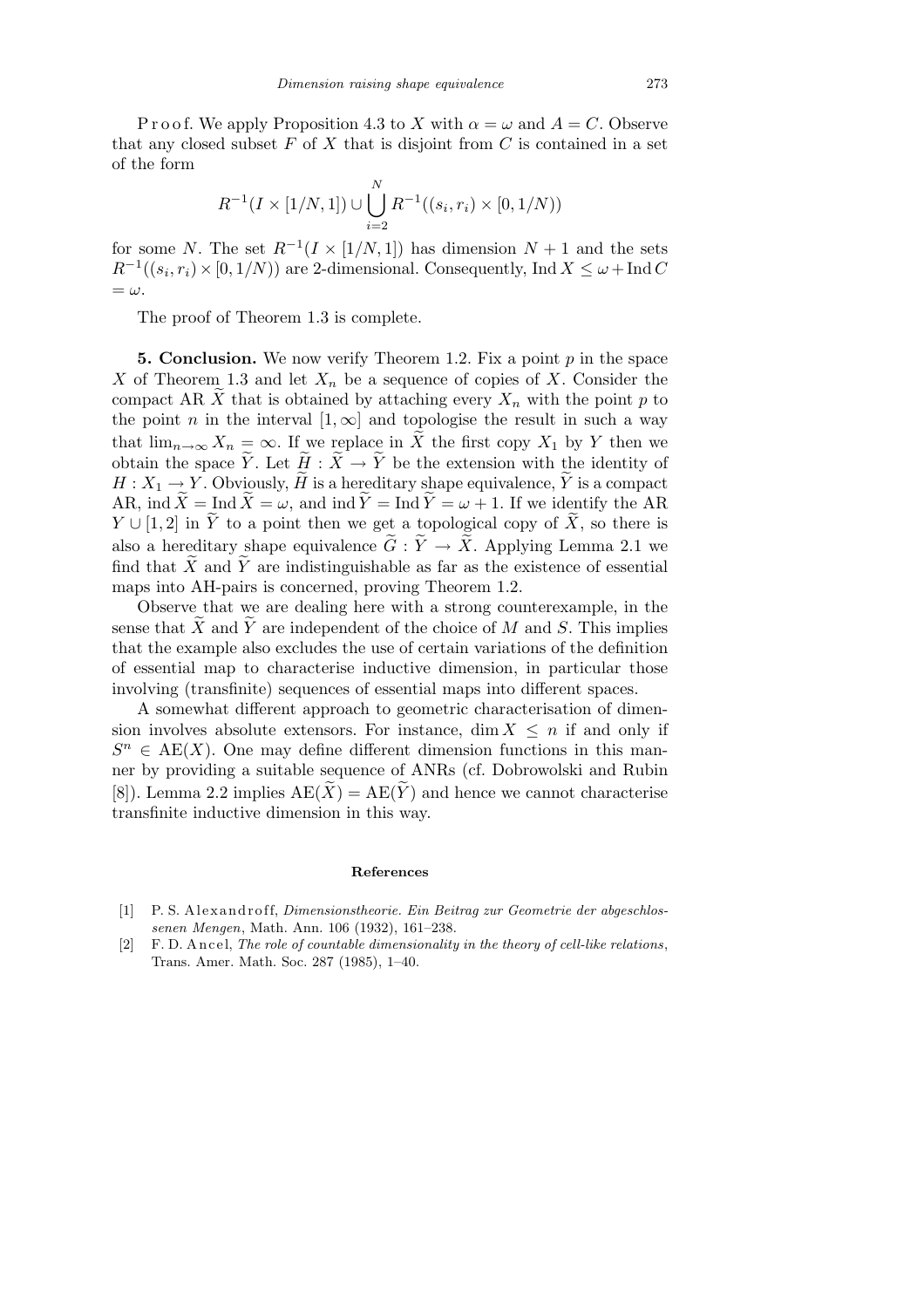P r o o f. We apply Proposition 4.3 to *X* with  $\alpha = \omega$  and  $A = C$ . Observe that any closed subset  $F$  of  $X$  that is disjoint from  $C$  is contained in a set of the form

$$
R^{-1}(I \times [1/N, 1]) \cup \bigcup_{i=2}^{N} R^{-1}((s_i, r_i) \times [0, 1/N))
$$

for some *N*. The set  $R^{-1}(I \times [1/N, 1])$  has dimension  $N + 1$  and the sets  $R^{-1}((s_i, r_i) \times [0, 1/N))$  are 2-dimensional. Consequently, Ind  $X \leq \omega + \text{Ind } C$  $=\omega$ .

The proof of Theorem 1.3 is complete.

**5. Conclusion.** We now verify Theorem 1.2. Fix a point *p* in the space *X* of Theorem 1.3 and let  $X_n$  be a sequence of copies of *X*. Consider the compact AR  $\widetilde{X}$  that is obtained by attaching every  $X_n$  with the point p to the point *n* in the interval  $[1, \infty]$  and topologise the result in such a way that  $\lim_{n\to\infty} X_n = \infty$ . If we replace in *X* the first copy  $X_1$  by *Y* then we obtain the space  $\widetilde{Y}$ . Let  $\widetilde{H} : \widetilde{X} \to \widetilde{Y}$  be the extension with the identity of  $H: X_1 \to Y$ . Obviously,  $\widetilde{H}$  is a hereditary shape equivalence,  $\widetilde{Y}$  is a compact AR, ind  $\widetilde{X} = \text{Ind }\widetilde{X} = \omega$ , and ind  $\widetilde{Y} = \text{Ind }\widetilde{Y} = \omega + 1$ . If we identify the AR *Y*  $\cup$  [1, 2] in *Y* to a point then we get a topological copy of  $\tilde{X}$ , so there is also a hereditary shape equivalence  $\tilde{G} : \tilde{Y} \to \tilde{X}$ . Applying Lemma 2.1 we find that  $\overline{X}$  and  $\overline{Y}$  are indistinguishable as far as the existence of essential maps into AH-pairs is concerned, proving Theorem 1.2.

Observe that we are dealing here with a strong counterexample, in the sense that  $X$  and  $Y$  are independent of the choice of  $M$  and  $S$ . This implies that the example also excludes the use of certain variations of the definition of essential map to characterise inductive dimension, in particular those involving (transfinite) sequences of essential maps into different spaces.

A somewhat different approach to geometric characterisation of dimension involves absolute extensors. For instance, dim  $X \leq n$  if and only if  $S<sup>n</sup> \in AE(X)$ . One may define different dimension functions in this manner by providing a suitable sequence of ANRs (cf. Dobrowolski and Rubin [8]). Lemma 2.2 implies  $AE(X) = AE(Y)$  and hence we cannot characterise transfinite inductive dimension in this way.

## **References**

- [1] P. S. Alexandroff, *Dimensionstheorie. Ein Beitrag zur Geometrie der abgeschlossenen Mengen*, Math. Ann. 106 (1932), 161–238.
- [2] F. D. Ancel, *The role of countable dimensionality in the theory of cell-like relations*, Trans. Amer. Math. Soc. 287 (1985), 1–40.